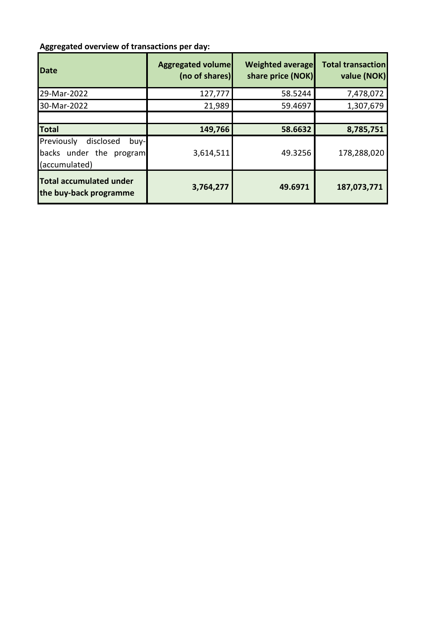## **Aggregated overview of transactions per day:**

| <b>Date</b>                                                                  | <b>Aggregated volume</b><br>(no of shares) | <b>Weighted average</b><br>share price (NOK) | <b>Total transaction</b><br>value (NOK) |
|------------------------------------------------------------------------------|--------------------------------------------|----------------------------------------------|-----------------------------------------|
| 29-Mar-2022                                                                  | 127,777                                    | 58.5244                                      | 7,478,072                               |
| 30-Mar-2022                                                                  | 21,989                                     | 59.4697                                      | 1,307,679                               |
|                                                                              |                                            |                                              |                                         |
| <b>Total</b>                                                                 | 149,766                                    | 58.6632                                      | 8,785,751                               |
| Previously<br>disclosed<br>buy-l<br>backs under the program<br>(accumulated) | 3,614,511                                  | 49.3256                                      | 178,288,020                             |
| <b>Total accumulated under</b><br>the buy-back programme                     | 3,764,277                                  | 49.6971                                      | 187,073,771                             |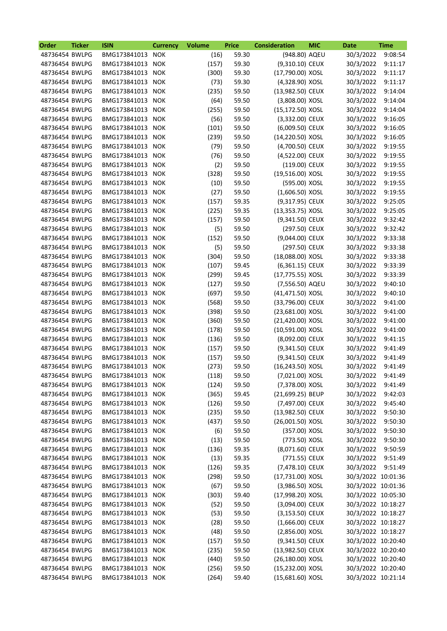| Order          | <b>Ticker</b> | <b>ISIN</b>      | <b>Currency</b> | <b>Volume</b> | <b>Price</b> | <b>Consideration</b> | <b>MIC</b> | <b>Date</b>            | <b>Time</b> |
|----------------|---------------|------------------|-----------------|---------------|--------------|----------------------|------------|------------------------|-------------|
| 48736454 BWLPG |               | BMG173841013 NOK |                 | (16)          | 59.30        | (948.80) AQEU        |            | 30/3/2022              | 9:08:54     |
| 48736454 BWLPG |               | BMG173841013 NOK |                 | (157)         | 59.30        | (9,310.10) CEUX      |            | 30/3/2022              | 9:11:17     |
| 48736454 BWLPG |               | BMG173841013 NOK |                 | (300)         | 59.30        | (17,790.00) XOSL     |            | 30/3/2022              | 9:11:17     |
| 48736454 BWLPG |               | BMG173841013 NOK |                 | (73)          | 59.30        | (4,328.90) XOSL      |            | 30/3/2022              | 9:11:17     |
| 48736454 BWLPG |               | BMG173841013 NOK |                 | (235)         | 59.50        | (13,982.50) CEUX     |            | 30/3/2022              | 9:14:04     |
| 48736454 BWLPG |               | BMG173841013 NOK |                 | (64)          | 59.50        | (3,808.00) XOSL      |            | 30/3/2022              | 9:14:04     |
| 48736454 BWLPG |               | BMG173841013 NOK |                 | (255)         | 59.50        | (15,172.50) XOSL     |            | 30/3/2022              | 9:14:04     |
| 48736454 BWLPG |               | BMG173841013 NOK |                 | (56)          | 59.50        | (3,332.00) CEUX      |            | 30/3/2022              | 9:16:05     |
| 48736454 BWLPG |               | BMG173841013 NOK |                 | (101)         | 59.50        | (6,009.50) CEUX      |            | 30/3/2022              | 9:16:05     |
| 48736454 BWLPG |               | BMG173841013 NOK |                 | (239)         | 59.50        | (14,220.50) XOSL     |            | 30/3/2022              | 9:16:05     |
| 48736454 BWLPG |               | BMG173841013 NOK |                 | (79)          | 59.50        | (4,700.50) CEUX      |            | 30/3/2022              | 9:19:55     |
| 48736454 BWLPG |               | BMG173841013 NOK |                 | (76)          | 59.50        | (4,522.00) CEUX      |            | 30/3/2022              | 9:19:55     |
| 48736454 BWLPG |               | BMG173841013     | <b>NOK</b>      | (2)           | 59.50        | (119.00) CEUX        |            | 30/3/2022              | 9:19:55     |
| 48736454 BWLPG |               | BMG173841013 NOK |                 | (328)         | 59.50        | (19,516.00) XOSL     |            | 30/3/2022              | 9:19:55     |
| 48736454 BWLPG |               | BMG173841013     | <b>NOK</b>      | (10)          | 59.50        | (595.00) XOSL        |            | 30/3/2022              | 9:19:55     |
| 48736454 BWLPG |               | BMG173841013     | <b>NOK</b>      | (27)          | 59.50        | $(1,606.50)$ XOSL    |            | 30/3/2022              | 9:19:55     |
| 48736454 BWLPG |               | BMG173841013     | <b>NOK</b>      | (157)         | 59.35        | (9,317.95) CEUX      |            | 30/3/2022              | 9:25:05     |
| 48736454 BWLPG |               | BMG173841013     | <b>NOK</b>      | (225)         | 59.35        | (13,353.75) XOSL     |            | 30/3/2022              | 9:25:05     |
| 48736454 BWLPG |               | BMG173841013 NOK |                 | (157)         | 59.50        | (9,341.50) CEUX      |            | 30/3/2022              | 9:32:42     |
| 48736454 BWLPG |               | BMG173841013 NOK |                 | (5)           | 59.50        | (297.50) CEUX        |            | 30/3/2022              | 9:32:42     |
| 48736454 BWLPG |               | BMG173841013 NOK |                 | (152)         | 59.50        | (9,044.00) CEUX      |            | 30/3/2022              | 9:33:38     |
| 48736454 BWLPG |               | BMG173841013     | <b>NOK</b>      |               | 59.50        | (297.50) CEUX        |            |                        | 9:33:38     |
|                |               |                  |                 | (5)           |              |                      |            | 30/3/2022<br>30/3/2022 |             |
| 48736454 BWLPG |               | BMG173841013 NOK |                 | (304)         | 59.50        | (18,088.00) XOSL     |            |                        | 9:33:38     |
| 48736454 BWLPG |               | BMG173841013 NOK |                 | (107)         | 59.45        | (6,361.15) CEUX      |            | 30/3/2022              | 9:33:39     |
| 48736454 BWLPG |               | BMG173841013 NOK |                 | (299)         | 59.45        | (17,775.55) XOSL     |            | 30/3/2022              | 9:33:39     |
| 48736454 BWLPG |               | BMG173841013 NOK |                 | (127)         | 59.50        | (7,556.50) AQEU      |            | 30/3/2022              | 9:40:10     |
| 48736454 BWLPG |               | BMG173841013 NOK |                 | (697)         | 59.50        | (41,471.50) XOSL     |            | 30/3/2022              | 9:40:10     |
| 48736454 BWLPG |               | BMG173841013     | <b>NOK</b>      | (568)         | 59.50        | (33,796.00) CEUX     |            | 30/3/2022              | 9:41:00     |
| 48736454 BWLPG |               | BMG173841013     | <b>NOK</b>      | (398)         | 59.50        | (23,681.00) XOSL     |            | 30/3/2022              | 9:41:00     |
| 48736454 BWLPG |               | BMG173841013     | <b>NOK</b>      | (360)         | 59.50        | (21,420.00) XOSL     |            | 30/3/2022              | 9:41:00     |
| 48736454 BWLPG |               | BMG173841013     | <b>NOK</b>      | (178)         | 59.50        | (10,591.00) XOSL     |            | 30/3/2022              | 9:41:00     |
| 48736454 BWLPG |               | BMG173841013 NOK |                 | (136)         | 59.50        | (8,092.00) CEUX      |            | 30/3/2022              | 9:41:15     |
| 48736454 BWLPG |               | BMG173841013     | <b>NOK</b>      | (157)         | 59.50        | (9,341.50) CEUX      |            | 30/3/2022              | 9:41:49     |
| 48736454 BWLPG |               | BMG173841013     | <b>NOK</b>      | (157)         | 59.50        | (9,341.50) CEUX      |            | 30/3/2022              | 9:41:49     |
| 48736454 BWLPG |               | BMG173841013 NOK |                 | (273)         | 59.50        | (16,243.50) XOSL     |            | 30/3/2022              | 9:41:49     |
| 48736454 BWLPG |               | BMG173841013 NOK |                 | (118)         | 59.50        | (7,021.00) XOSL      |            | 30/3/2022              | 9:41:49     |
| 48736454 BWLPG |               | BMG173841013 NOK |                 | (124)         | 59.50        | (7,378.00) XOSL      |            | 30/3/2022 9:41:49      |             |
| 48736454 BWLPG |               | BMG173841013 NOK |                 | (365)         | 59.45        | (21,699.25) BEUP     |            | 30/3/2022              | 9:42:03     |
| 48736454 BWLPG |               | BMG173841013 NOK |                 | (126)         | 59.50        | (7,497.00) CEUX      |            | 30/3/2022              | 9:45:40     |
| 48736454 BWLPG |               | BMG173841013 NOK |                 | (235)         | 59.50        | (13,982.50) CEUX     |            | 30/3/2022              | 9:50:30     |
| 48736454 BWLPG |               | BMG173841013 NOK |                 | (437)         | 59.50        | (26,001.50) XOSL     |            | 30/3/2022              | 9:50:30     |
| 48736454 BWLPG |               | BMG173841013 NOK |                 | (6)           | 59.50        | (357.00) XOSL        |            | 30/3/2022              | 9:50:30     |
| 48736454 BWLPG |               | BMG173841013 NOK |                 | (13)          | 59.50        | (773.50) XOSL        |            | 30/3/2022              | 9:50:30     |
| 48736454 BWLPG |               | BMG173841013 NOK |                 | (136)         | 59.35        | (8,071.60) CEUX      |            | 30/3/2022              | 9:50:59     |
| 48736454 BWLPG |               | BMG173841013 NOK |                 | (13)          | 59.35        | (771.55) CEUX        |            | 30/3/2022 9:51:49      |             |
| 48736454 BWLPG |               | BMG173841013 NOK |                 | (126)         | 59.35        | (7,478.10) CEUX      |            | 30/3/2022 9:51:49      |             |
| 48736454 BWLPG |               | BMG173841013 NOK |                 | (298)         | 59.50        | (17,731.00) XOSL     |            | 30/3/2022 10:01:36     |             |
| 48736454 BWLPG |               | BMG173841013 NOK |                 | (67)          | 59.50        | (3,986.50) XOSL      |            | 30/3/2022 10:01:36     |             |
| 48736454 BWLPG |               | BMG173841013 NOK |                 | (303)         | 59.40        | (17,998.20) XOSL     |            | 30/3/2022 10:05:30     |             |
| 48736454 BWLPG |               | BMG173841013 NOK |                 | (52)          | 59.50        | (3,094.00) CEUX      |            | 30/3/2022 10:18:27     |             |
| 48736454 BWLPG |               | BMG173841013 NOK |                 | (53)          | 59.50        | $(3, 153.50)$ CEUX   |            | 30/3/2022 10:18:27     |             |
| 48736454 BWLPG |               | BMG173841013 NOK |                 | (28)          | 59.50        | $(1,666.00)$ CEUX    |            | 30/3/2022 10:18:27     |             |
| 48736454 BWLPG |               | BMG173841013 NOK |                 | (48)          | 59.50        | $(2,856.00)$ XOSL    |            | 30/3/2022 10:18:27     |             |
| 48736454 BWLPG |               | BMG173841013 NOK |                 | (157)         | 59.50        | (9,341.50) CEUX      |            | 30/3/2022 10:20:40     |             |
| 48736454 BWLPG |               | BMG173841013 NOK |                 | (235)         | 59.50        | (13,982.50) CEUX     |            | 30/3/2022 10:20:40     |             |
| 48736454 BWLPG |               | BMG173841013 NOK |                 | (440)         | 59.50        | (26,180.00) XOSL     |            | 30/3/2022 10:20:40     |             |
| 48736454 BWLPG |               | BMG173841013 NOK |                 | (256)         | 59.50        | (15,232.00) XOSL     |            | 30/3/2022 10:20:40     |             |
| 48736454 BWLPG |               | BMG173841013 NOK |                 | (264)         | 59.40        | (15,681.60) XOSL     |            | 30/3/2022 10:21:14     |             |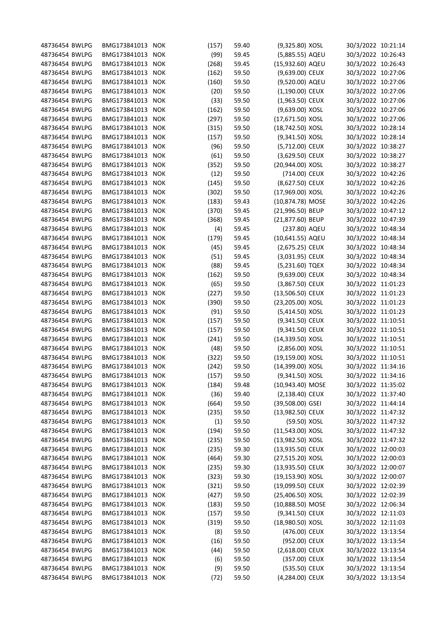| 48736454 BWLPG | BMG173841013 NOK |            | (157) | 59.40 | (9,325.80) XOSL    | 30/3/2022 10:21:14 |  |
|----------------|------------------|------------|-------|-------|--------------------|--------------------|--|
| 48736454 BWLPG | BMG173841013 NOK |            | (99)  | 59.45 | (5,885.55) AQEU    | 30/3/2022 10:26:43 |  |
| 48736454 BWLPG | BMG173841013 NOK |            | (268) | 59.45 | (15,932.60) AQEU   | 30/3/2022 10:26:43 |  |
| 48736454 BWLPG | BMG173841013 NOK |            | (162) | 59.50 | (9,639.00) CEUX    | 30/3/2022 10:27:06 |  |
| 48736454 BWLPG | BMG173841013 NOK |            | (160) | 59.50 | (9,520.00) AQEU    | 30/3/2022 10:27:06 |  |
| 48736454 BWLPG | BMG173841013 NOK |            | (20)  | 59.50 | $(1,190.00)$ CEUX  | 30/3/2022 10:27:06 |  |
| 48736454 BWLPG | BMG173841013 NOK |            | (33)  | 59.50 | $(1,963.50)$ CEUX  | 30/3/2022 10:27:06 |  |
| 48736454 BWLPG | BMG173841013 NOK |            | (162) | 59.50 | (9,639.00) XOSL    | 30/3/2022 10:27:06 |  |
| 48736454 BWLPG | BMG173841013 NOK |            | (297) | 59.50 | (17,671.50) XOSL   | 30/3/2022 10:27:06 |  |
| 48736454 BWLPG | BMG173841013 NOK |            | (315) | 59.50 | (18,742.50) XOSL   | 30/3/2022 10:28:14 |  |
| 48736454 BWLPG | BMG173841013 NOK |            | (157) | 59.50 | (9,341.50) XOSL    | 30/3/2022 10:28:14 |  |
| 48736454 BWLPG | BMG173841013 NOK |            | (96)  | 59.50 | (5,712.00) CEUX    | 30/3/2022 10:38:27 |  |
| 48736454 BWLPG | BMG173841013 NOK |            | (61)  | 59.50 | (3,629.50) CEUX    | 30/3/2022 10:38:27 |  |
| 48736454 BWLPG | BMG173841013 NOK |            | (352) | 59.50 | (20,944.00) XOSL   | 30/3/2022 10:38:27 |  |
| 48736454 BWLPG | BMG173841013 NOK |            | (12)  | 59.50 | (714.00) CEUX      | 30/3/2022 10:42:26 |  |
| 48736454 BWLPG | BMG173841013 NOK |            | (145) | 59.50 | (8,627.50) CEUX    | 30/3/2022 10:42:26 |  |
| 48736454 BWLPG | BMG173841013 NOK |            | (302) | 59.50 | (17,969.00) XOSL   | 30/3/2022 10:42:26 |  |
| 48736454 BWLPG | BMG173841013 NOK |            | (183) | 59.43 | (10,874.78) MOSE   | 30/3/2022 10:42:26 |  |
| 48736454 BWLPG | BMG173841013     | <b>NOK</b> | (370) | 59.45 | (21,996.50) BEUP   | 30/3/2022 10:47:12 |  |
| 48736454 BWLPG | BMG173841013     | NOK        | (368) | 59.45 | (21,877.60) BEUP   | 30/3/2022 10:47:39 |  |
| 48736454 BWLPG | BMG173841013 NOK |            | (4)   | 59.45 | (237.80) AQEU      | 30/3/2022 10:48:34 |  |
| 48736454 BWLPG | BMG173841013     | <b>NOK</b> | (179) | 59.45 | (10,641.55) AQEU   | 30/3/2022 10:48:34 |  |
| 48736454 BWLPG | BMG173841013     | <b>NOK</b> | (45)  | 59.45 | (2,675.25) CEUX    | 30/3/2022 10:48:34 |  |
| 48736454 BWLPG | BMG173841013     | <b>NOK</b> | (51)  | 59.45 | (3,031.95) CEUX    | 30/3/2022 10:48:34 |  |
| 48736454 BWLPG | BMG173841013     | NOK        | (88)  | 59.45 | (5,231.60) TQEX    | 30/3/2022 10:48:34 |  |
| 48736454 BWLPG | BMG173841013     | <b>NOK</b> | (162) | 59.50 | (9,639.00) CEUX    | 30/3/2022 10:48:34 |  |
|                |                  |            |       |       |                    |                    |  |
| 48736454 BWLPG | BMG173841013 NOK |            | (65)  | 59.50 | (3,867.50) CEUX    | 30/3/2022 11:01:23 |  |
| 48736454 BWLPG | BMG173841013 NOK |            | (227) | 59.50 | (13,506.50) CEUX   | 30/3/2022 11:01:23 |  |
| 48736454 BWLPG | BMG173841013     | NOK        | (390) | 59.50 | (23,205.00) XOSL   | 30/3/2022 11:01:23 |  |
| 48736454 BWLPG | BMG173841013     | <b>NOK</b> | (91)  | 59.50 | (5,414.50) XOSL    | 30/3/2022 11:01:23 |  |
| 48736454 BWLPG | BMG173841013     | <b>NOK</b> | (157) | 59.50 | (9,341.50) CEUX    | 30/3/2022 11:10:51 |  |
| 48736454 BWLPG | BMG173841013     | <b>NOK</b> | (157) | 59.50 | (9,341.50) CEUX    | 30/3/2022 11:10:51 |  |
| 48736454 BWLPG | BMG173841013 NOK |            | (241) | 59.50 | (14,339.50) XOSL   | 30/3/2022 11:10:51 |  |
| 48736454 BWLPG | BMG173841013     | <b>NOK</b> | (48)  | 59.50 | (2,856.00) XOSL    | 30/3/2022 11:10:51 |  |
| 48736454 BWLPG | BMG173841013     | NOK        | (322) | 59.50 | (19,159.00) XOSL   | 30/3/2022 11:10:51 |  |
| 48736454 BWLPG | BMG173841013 NOK |            | (242) | 59.50 | (14,399.00) XOSL   | 30/3/2022 11:34:16 |  |
| 48736454 BWLPG | BMG173841013 NOK |            | (157) | 59.50 | (9,341.50) XOSL    | 30/3/2022 11:34:16 |  |
| 48736454 BWLPG | BMG173841013 NOK |            | (184) | 59.48 | (10,943.40) MOSE   | 30/3/2022 11:35:02 |  |
| 48736454 BWLPG | BMG173841013 NOK |            | (36)  | 59.40 | $(2, 138.40)$ CEUX | 30/3/2022 11:37:40 |  |
| 48736454 BWLPG | BMG173841013 NOK |            | (664) | 59.50 | (39,508.00) GSEI   | 30/3/2022 11:44:14 |  |
| 48736454 BWLPG | BMG173841013 NOK |            | (235) | 59.50 | (13,982.50) CEUX   | 30/3/2022 11:47:32 |  |
| 48736454 BWLPG | BMG173841013 NOK |            | (1)   | 59.50 | (59.50) XOSL       | 30/3/2022 11:47:32 |  |
| 48736454 BWLPG | BMG173841013 NOK |            | (194) | 59.50 | (11,543.00) XOSL   | 30/3/2022 11:47:32 |  |
| 48736454 BWLPG | BMG173841013 NOK |            | (235) | 59.50 | (13,982.50) XOSL   | 30/3/2022 11:47:32 |  |
| 48736454 BWLPG | BMG173841013 NOK |            | (235) | 59.30 | (13,935.50) CEUX   | 30/3/2022 12:00:03 |  |
| 48736454 BWLPG | BMG173841013 NOK |            | (464) | 59.30 | (27,515.20) XOSL   | 30/3/2022 12:00:03 |  |
| 48736454 BWLPG | BMG173841013 NOK |            | (235) | 59.30 | (13,935.50) CEUX   | 30/3/2022 12:00:07 |  |
| 48736454 BWLPG | BMG173841013 NOK |            | (323) | 59.30 | (19,153.90) XOSL   | 30/3/2022 12:00:07 |  |
| 48736454 BWLPG | BMG173841013 NOK |            | (321) | 59.50 | (19,099.50) CEUX   | 30/3/2022 12:02:39 |  |
| 48736454 BWLPG | BMG173841013 NOK |            | (427) | 59.50 | (25,406.50) XOSL   | 30/3/2022 12:02:39 |  |
| 48736454 BWLPG | BMG173841013 NOK |            | (183) | 59.50 | (10,888.50) MOSE   | 30/3/2022 12:06:34 |  |
| 48736454 BWLPG | BMG173841013 NOK |            | (157) | 59.50 | (9,341.50) CEUX    | 30/3/2022 12:11:03 |  |
| 48736454 BWLPG | BMG173841013 NOK |            | (319) | 59.50 | (18,980.50) XOSL   | 30/3/2022 12:11:03 |  |
| 48736454 BWLPG | BMG173841013 NOK |            | (8)   | 59.50 | (476.00) CEUX      | 30/3/2022 13:13:54 |  |
| 48736454 BWLPG | BMG173841013 NOK |            | (16)  | 59.50 | (952.00) CEUX      | 30/3/2022 13:13:54 |  |
| 48736454 BWLPG | BMG173841013 NOK |            | (44)  | 59.50 | (2,618.00) CEUX    | 30/3/2022 13:13:54 |  |
| 48736454 BWLPG | BMG173841013 NOK |            | (6)   | 59.50 | (357.00) CEUX      | 30/3/2022 13:13:54 |  |
| 48736454 BWLPG | BMG173841013 NOK |            | (9)   | 59.50 | (535.50) CEUX      | 30/3/2022 13:13:54 |  |
| 48736454 BWLPG | BMG173841013 NOK |            | (72)  | 59.50 | (4,284.00) CEUX    | 30/3/2022 13:13:54 |  |
|                |                  |            |       |       |                    |                    |  |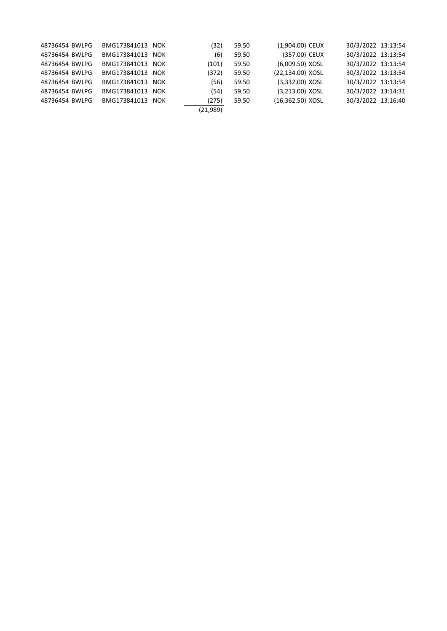| 48736454 BWLPG | BMG173841013 NOK | (32)     | 59.50 | (1,904.00) CEUX    | 30/3/2022 13:13:54 |  |
|----------------|------------------|----------|-------|--------------------|--------------------|--|
| 48736454 BWLPG | BMG173841013 NOK | (6)      | 59.50 | (357.00) CEUX      | 30/3/2022 13:13:54 |  |
| 48736454 BWLPG | BMG173841013 NOK | (101)    | 59.50 | (6,009.50) XOSL    | 30/3/2022 13:13:54 |  |
| 48736454 BWLPG | BMG173841013 NOK | (372)    | 59.50 | (22,134.00) XOSL   | 30/3/2022 13:13:54 |  |
| 48736454 BWLPG | BMG173841013 NOK | (56)     | 59.50 | (3,332.00) XOSL    | 30/3/2022 13:13:54 |  |
| 48736454 BWLPG | BMG173841013 NOK | (54)     | 59.50 | (3,213.00) XOSL    | 30/3/2022 13:14:31 |  |
| 48736454 BWLPG | BMG173841013 NOK | (275)    | 59.50 | $(16,362.50)$ XOSL | 30/3/2022 13:16:40 |  |
|                |                  | (21,989) |       |                    |                    |  |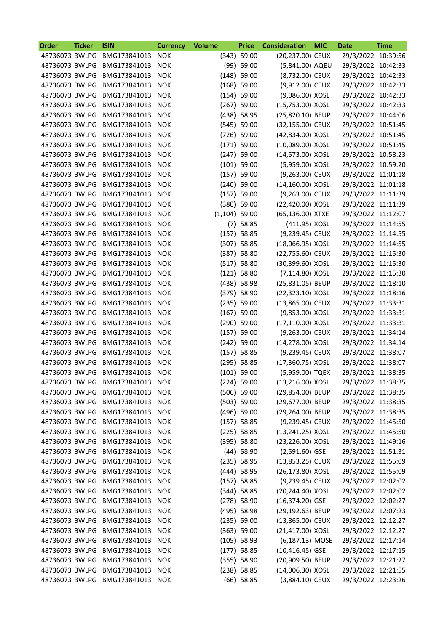| Order          | <b>Ticker</b> | <b>ISIN</b>                 | <b>Currency</b> | <b>Volume</b>   | <b>Price</b>  | <b>Consideration</b> | <b>MIC</b> | Date               | <b>Time</b> |
|----------------|---------------|-----------------------------|-----------------|-----------------|---------------|----------------------|------------|--------------------|-------------|
| 48736073 BWLPG |               | BMG173841013                | <b>NOK</b>      |                 | $(343)$ 59.00 | (20,237.00) CEUX     |            | 29/3/2022 10:39:56 |             |
| 48736073 BWLPG |               | BMG173841013                | <b>NOK</b>      |                 | $(99)$ 59.00  | (5,841.00) AQEU      |            | 29/3/2022 10:42:33 |             |
| 48736073 BWLPG |               | BMG173841013                | <b>NOK</b>      |                 | $(148)$ 59.00 | (8,732.00) CEUX      |            | 29/3/2022 10:42:33 |             |
| 48736073 BWLPG |               | BMG173841013                | <b>NOK</b>      |                 | $(168)$ 59.00 | (9,912.00) CEUX      |            | 29/3/2022 10:42:33 |             |
| 48736073 BWLPG |               | BMG173841013                | <b>NOK</b>      |                 | $(154)$ 59.00 | (9,086.00) XOSL      |            | 29/3/2022 10:42:33 |             |
| 48736073 BWLPG |               | BMG173841013                | <b>NOK</b>      |                 | $(267)$ 59.00 | (15,753.00) XOSL     |            | 29/3/2022 10:42:33 |             |
| 48736073 BWLPG |               | BMG173841013                | <b>NOK</b>      |                 | (438) 58.95   | (25,820.10) BEUP     |            | 29/3/2022 10:44:06 |             |
| 48736073 BWLPG |               | BMG173841013                | <b>NOK</b>      |                 | $(545)$ 59.00 | (32,155.00) CEUX     |            | 29/3/2022 10:51:45 |             |
| 48736073 BWLPG |               | BMG173841013                | <b>NOK</b>      |                 | $(726)$ 59.00 | (42,834.00) XOSL     |            | 29/3/2022 10:51:45 |             |
| 48736073 BWLPG |               | BMG173841013                | <b>NOK</b>      |                 | $(171)$ 59.00 | (10,089.00) XOSL     |            | 29/3/2022 10:51:45 |             |
| 48736073 BWLPG |               | BMG173841013                | <b>NOK</b>      |                 | $(247)$ 59.00 | (14,573.00) XOSL     |            | 29/3/2022 10:58:23 |             |
| 48736073 BWLPG |               | BMG173841013                | <b>NOK</b>      |                 | $(101)$ 59.00 | (5,959.00) XOSL      |            | 29/3/2022 10:59:20 |             |
| 48736073 BWLPG |               | BMG173841013                | <b>NOK</b>      |                 | $(157)$ 59.00 | (9,263.00) CEUX      |            | 29/3/2022 11:01:18 |             |
| 48736073 BWLPG |               | BMG173841013                | <b>NOK</b>      |                 | $(240)$ 59.00 | (14,160.00) XOSL     |            | 29/3/2022 11:01:18 |             |
| 48736073 BWLPG |               | BMG173841013                | <b>NOK</b>      |                 | $(157)$ 59.00 | (9,263.00) CEUX      |            | 29/3/2022 11:11:39 |             |
| 48736073 BWLPG |               | BMG173841013                | NOK             |                 | $(380)$ 59.00 | (22,420.00) XOSL     |            | 29/3/2022 11:11:39 |             |
| 48736073 BWLPG |               | BMG173841013                | <b>NOK</b>      | $(1,104)$ 59.00 |               | (65,136.00) XTXE     |            | 29/3/2022 11:12:07 |             |
| 48736073 BWLPG |               | BMG173841013                | <b>NOK</b>      |                 | $(7)$ 58.85   | (411.95) XOSL        |            | 29/3/2022 11:14:55 |             |
| 48736073 BWLPG |               | BMG173841013                | <b>NOK</b>      |                 | $(157)$ 58.85 | (9,239.45) CEUX      |            | 29/3/2022 11:14:55 |             |
| 48736073 BWLPG |               | BMG173841013                | <b>NOK</b>      |                 | $(307)$ 58.85 | (18,066.95) XOSL     |            | 29/3/2022 11:14:55 |             |
| 48736073 BWLPG |               | BMG173841013                | <b>NOK</b>      |                 | $(387)$ 58.80 | (22,755.60) CEUX     |            | 29/3/2022 11:15:30 |             |
| 48736073 BWLPG |               | BMG173841013                | <b>NOK</b>      |                 | $(517)$ 58.80 | (30,399.60) XOSL     |            | 29/3/2022 11:15:30 |             |
| 48736073 BWLPG |               | BMG173841013                | <b>NOK</b>      |                 | $(121)$ 58.80 | (7,114.80) XOSL      |            | 29/3/2022 11:15:30 |             |
| 48736073 BWLPG |               | BMG173841013                | <b>NOK</b>      |                 | $(438)$ 58.98 | (25,831.05) BEUP     |            | 29/3/2022 11:18:10 |             |
| 48736073 BWLPG |               |                             | <b>NOK</b>      |                 | (379) 58.90   | (22,323.10) XOSL     |            | 29/3/2022 11:18:16 |             |
|                |               | BMG173841013                |                 |                 |               |                      |            |                    |             |
| 48736073 BWLPG |               | BMG173841013                | <b>NOK</b>      |                 | $(235)$ 59.00 | (13,865.00) CEUX     |            | 29/3/2022 11:33:31 |             |
| 48736073 BWLPG |               | BMG173841013                | <b>NOK</b>      |                 | $(167)$ 59.00 | (9,853.00) XOSL      |            | 29/3/2022 11:33:31 |             |
| 48736073 BWLPG |               | BMG173841013                | <b>NOK</b>      |                 | $(290)$ 59.00 | (17,110.00) XOSL     |            | 29/3/2022 11:33:31 |             |
| 48736073 BWLPG |               | BMG173841013                | <b>NOK</b>      |                 | $(157)$ 59.00 | (9,263.00) CEUX      |            | 29/3/2022 11:34:14 |             |
| 48736073 BWLPG |               | BMG173841013                | <b>NOK</b>      |                 | $(242)$ 59.00 | (14,278.00) XOSL     |            | 29/3/2022 11:34:14 |             |
| 48736073 BWLPG |               | BMG173841013                | <b>NOK</b>      |                 | $(157)$ 58.85 | (9,239.45) CEUX      |            | 29/3/2022 11:38:07 |             |
| 48736073 BWLPG |               | BMG173841013                | <b>NOK</b>      |                 | $(295)$ 58.85 | (17,360.75) XOSL     |            | 29/3/2022 11:38:07 |             |
| 48736073 BWLPG |               | BMG173841013                | <b>NOK</b>      |                 | $(101)$ 59.00 | (5,959.00) TQEX      |            | 29/3/2022 11:38:35 |             |
|                |               | 48736073 BWLPG BMG173841013 | <b>NOK</b>      |                 | $(224)$ 59.00 | (13,216.00) XOSL     |            | 29/3/2022 11:38:35 |             |
| 48736073 BWLPG |               | BMG173841013                | NOK             |                 | $(506)$ 59.00 | (29,854.00) BEUP     |            | 29/3/2022 11:38:35 |             |
| 48736073 BWLPG |               | BMG173841013 NOK            |                 |                 | $(503)$ 59.00 | (29,677.00) BEUP     |            | 29/3/2022 11:38:35 |             |
| 48736073 BWLPG |               | BMG173841013 NOK            |                 |                 | $(496)$ 59.00 | (29,264.00) BEUP     |            | 29/3/2022 11:38:35 |             |
| 48736073 BWLPG |               | BMG173841013                | <b>NOK</b>      |                 | $(157)$ 58.85 | (9,239.45) CEUX      |            | 29/3/2022 11:45:50 |             |
| 48736073 BWLPG |               | BMG173841013                | NOK             |                 | $(225)$ 58.85 | (13,241.25) XOSL     |            | 29/3/2022 11:45:50 |             |
| 48736073 BWLPG |               | BMG173841013 NOK            |                 |                 | (395) 58.80   | (23,226.00) XOSL     |            | 29/3/2022 11:49:16 |             |
| 48736073 BWLPG |               | BMG173841013 NOK            |                 |                 | $(44)$ 58.90  | $(2,591.60)$ GSEI    |            | 29/3/2022 11:51:31 |             |
| 48736073 BWLPG |               | BMG173841013 NOK            |                 |                 | $(235)$ 58.95 | (13,853.25) CEUX     |            | 29/3/2022 11:55:09 |             |
| 48736073 BWLPG |               | BMG173841013                | <b>NOK</b>      |                 | (444) 58.95   | (26,173.80) XOSL     |            | 29/3/2022 11:55:09 |             |
| 48736073 BWLPG |               | BMG173841013                | <b>NOK</b>      |                 | $(157)$ 58.85 | (9,239.45) CEUX      |            | 29/3/2022 12:02:02 |             |
| 48736073 BWLPG |               | BMG173841013 NOK            |                 |                 | $(344)$ 58.85 | (20,244.40) XOSL     |            | 29/3/2022 12:02:02 |             |
| 48736073 BWLPG |               | BMG173841013 NOK            |                 |                 | $(278)$ 58.90 | $(16, 374.20)$ GSEI  |            | 29/3/2022 12:02:27 |             |
| 48736073 BWLPG |               | BMG173841013                | NOK             |                 | (495) 58.98   | (29,192.63) BEUP     |            | 29/3/2022 12:07:23 |             |
| 48736073 BWLPG |               | BMG173841013                | <b>NOK</b>      |                 | $(235)$ 59.00 | (13,865.00) CEUX     |            | 29/3/2022 12:12:27 |             |
| 48736073 BWLPG |               | BMG173841013                | <b>NOK</b>      |                 | $(363)$ 59.00 | (21,417.00) XOSL     |            | 29/3/2022 12:12:27 |             |
| 48736073 BWLPG |               | BMG173841013 NOK            |                 |                 | $(105)$ 58.93 | $(6, 187.13)$ MOSE   |            | 29/3/2022 12:17:14 |             |
| 48736073 BWLPG |               | BMG173841013 NOK            |                 |                 | $(177)$ 58.85 | $(10, 416.45)$ GSEI  |            | 29/3/2022 12:17:15 |             |
| 48736073 BWLPG |               | BMG173841013                | NOK             |                 | (355) 58.90   | (20,909.50) BEUP     |            | 29/3/2022 12:21:27 |             |
| 48736073 BWLPG |               | BMG173841013                | <b>NOK</b>      |                 | $(238)$ 58.85 | (14,006.30) XOSL     |            | 29/3/2022 12:21:55 |             |
| 48736073 BWLPG |               | BMG173841013 NOK            |                 |                 | $(66)$ 58.85  | (3,884.10) CEUX      |            | 29/3/2022 12:23:26 |             |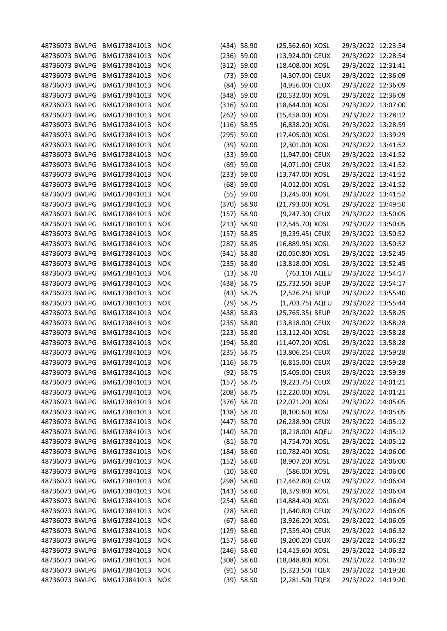| 48736073 BWLPG BMG173841013      |                              | <b>NOK</b> | (434) 58.90                   | (25,562.60) XOSL                      | 29/3/2022 12:23:54                       |  |
|----------------------------------|------------------------------|------------|-------------------------------|---------------------------------------|------------------------------------------|--|
| 48736073 BWLPG                   | BMG173841013                 | <b>NOK</b> | $(236)$ 59.00                 | (13,924.00) CEUX                      | 29/3/2022 12:28:54                       |  |
| 48736073 BWLPG                   | BMG173841013                 | <b>NOK</b> | (312) 59.00                   | (18,408.00) XOSL                      | 29/3/2022 12:31:41                       |  |
| 48736073 BWLPG                   | BMG173841013                 | <b>NOK</b> | $(73)$ 59.00                  | (4,307.00) CEUX                       | 29/3/2022 12:36:09                       |  |
| 48736073 BWLPG                   | BMG173841013                 | <b>NOK</b> | $(84)$ 59.00                  | (4,956.00) CEUX                       | 29/3/2022 12:36:09                       |  |
| 48736073 BWLPG                   | BMG173841013                 | <b>NOK</b> | $(348)$ 59.00                 | (20,532.00) XOSL                      | 29/3/2022 12:36:09                       |  |
| 48736073 BWLPG                   | BMG173841013                 | <b>NOK</b> | $(316)$ 59.00                 | (18,644.00) XOSL                      | 29/3/2022 13:07:00                       |  |
| 48736073 BWLPG                   | BMG173841013                 | <b>NOK</b> | $(262)$ 59.00                 | (15,458.00) XOSL                      | 29/3/2022 13:28:12                       |  |
| 48736073 BWLPG                   | BMG173841013                 | <b>NOK</b> | $(116)$ 58.95                 | (6,838.20) XOSL                       | 29/3/2022 13:28:59                       |  |
| 48736073 BWLPG                   | BMG173841013                 | <b>NOK</b> | $(295)$ 59.00                 | (17,405.00) XOSL                      | 29/3/2022 13:39:29                       |  |
| 48736073 BWLPG                   | BMG173841013                 | <b>NOK</b> | $(39)$ 59.00                  | (2,301.00) XOSL                       | 29/3/2022 13:41:52                       |  |
| 48736073 BWLPG                   | BMG173841013                 | <b>NOK</b> | (33) 59.00                    | (1,947.00) CEUX                       | 29/3/2022 13:41:52                       |  |
| 48736073 BWLPG                   | BMG173841013                 | <b>NOK</b> | $(69)$ 59.00                  | (4,071.00) CEUX                       | 29/3/2022 13:41:52                       |  |
| 48736073 BWLPG                   | BMG173841013                 | <b>NOK</b> | (233) 59.00                   | (13,747.00) XOSL                      | 29/3/2022 13:41:52                       |  |
| 48736073 BWLPG                   | BMG173841013                 | <b>NOK</b> | $(68)$ 59.00                  | (4,012.00) XOSL                       | 29/3/2022 13:41:52                       |  |
| 48736073 BWLPG                   | BMG173841013                 | <b>NOK</b> | (55) 59.00                    | (3,245.00) XOSL                       | 29/3/2022 13:41:52                       |  |
| 48736073 BWLPG                   | BMG173841013                 | <b>NOK</b> | $(370)$ 58.90                 | (21,793.00) XOSL                      | 29/3/2022 13:49:50                       |  |
| 48736073 BWLPG                   | BMG173841013                 | <b>NOK</b> | $(157)$ 58.90                 | (9,247.30) CEUX                       | 29/3/2022 13:50:05                       |  |
| 48736073 BWLPG                   | BMG173841013                 | <b>NOK</b> | (213) 58.90                   | (12,545.70) XOSL                      | 29/3/2022 13:50:05                       |  |
| 48736073 BWLPG                   | BMG173841013                 | <b>NOK</b> | $(157)$ 58.85                 | (9,239.45) CEUX                       | 29/3/2022 13:50:52                       |  |
| 48736073 BWLPG                   | BMG173841013                 | <b>NOK</b> | $(287)$ 58.85                 | (16,889.95) XOSL                      | 29/3/2022 13:50:52                       |  |
| 48736073 BWLPG                   | BMG173841013                 | <b>NOK</b> | $(341)$ 58.80                 | (20,050.80) XOSL                      | 29/3/2022 13:52:45                       |  |
| 48736073 BWLPG                   | BMG173841013                 | <b>NOK</b> | $(235)$ 58.80                 | (13,818.00) XOSL                      | 29/3/2022 13:52:45                       |  |
| 48736073 BWLPG                   | BMG173841013                 | <b>NOK</b> | (13) 58.70                    | (763.10) AQEU                         | 29/3/2022 13:54:17                       |  |
| 48736073 BWLPG                   | BMG173841013                 | <b>NOK</b> | (438) 58.75                   | (25,732.50) BEUP                      | 29/3/2022 13:54:17                       |  |
| 48736073 BWLPG                   | BMG173841013                 | <b>NOK</b> | $(43)$ 58.75                  | (2,526.25) BEUP                       | 29/3/2022 13:55:40                       |  |
| 48736073 BWLPG                   | BMG173841013                 | <b>NOK</b> | $(29)$ 58.75                  | (1,703.75) AQEU                       | 29/3/2022 13:55:44                       |  |
| 48736073 BWLPG                   | BMG173841013                 | <b>NOK</b> | $(438)$ 58.83                 | (25,765.35) BEUP                      | 29/3/2022 13:58:25                       |  |
| 48736073 BWLPG                   | BMG173841013                 | <b>NOK</b> | $(235)$ 58.80                 | (13,818.00) CEUX                      | 29/3/2022 13:58:28                       |  |
| 48736073 BWLPG                   | BMG173841013                 | <b>NOK</b> | $(223)$ 58.80                 | (13,112.40) XOSL                      | 29/3/2022 13:58:28                       |  |
| 48736073 BWLPG                   | BMG173841013                 | <b>NOK</b> | $(194)$ 58.80                 | (11,407.20) XOSL                      | 29/3/2022 13:58:28                       |  |
| 48736073 BWLPG                   | BMG173841013                 | <b>NOK</b> | $(235)$ 58.75                 | (13,806.25) CEUX                      | 29/3/2022 13:59:28                       |  |
| 48736073 BWLPG                   | BMG173841013                 | <b>NOK</b> | $(116)$ 58.75                 | (6,815.00) CEUX                       | 29/3/2022 13:59:28                       |  |
| 48736073 BWLPG BMG173841013 NOK  |                              |            | $(92)$ 58.75                  | (5,405.00) CEUX                       | 29/3/2022 13:59:39                       |  |
| 48736073 BWLPG                   | BMG173841013                 | <b>NOK</b> | $(157)$ 58.75                 | (9,223.75) CEUX                       | 29/3/2022 14:01:21                       |  |
| 48736073 BWLPG                   | BMG173841013                 | <b>NOK</b> | $(208)$ 58.75                 | (12,220.00) XOSL                      | 29/3/2022 14:01:21                       |  |
| 48736073 BWLPG                   | BMG173841013                 | <b>NOK</b> | $(376)$ 58.70                 | (22,071.20) XOSL                      | 29/3/2022 14:05:05                       |  |
| 48736073 BWLPG                   | BMG173841013                 | <b>NOK</b> | $(138)$ 58.70                 | (8,100.60) XOSL                       | 29/3/2022 14:05:05                       |  |
| 48736073 BWLPG                   | BMG173841013                 | <b>NOK</b> | $(447)$ 58.70                 | (26,238.90) CEUX                      | 29/3/2022 14:05:12                       |  |
| 48736073 BWLPG                   | BMG173841013                 | <b>NOK</b> | $(140)$ 58.70                 | (8,218.00) AQEU                       | 29/3/2022 14:05:12                       |  |
| 48736073 BWLPG                   | BMG173841013                 | <b>NOK</b> | $(81)$ 58.70                  | (4,754.70) XOSL                       | 29/3/2022 14:05:12                       |  |
| 48736073 BWLPG                   | BMG173841013                 | <b>NOK</b> | $(184)$ 58.60                 | (10,782.40) XOSL                      | 29/3/2022 14:06:00                       |  |
| 48736073 BWLPG                   | BMG173841013 NOK             |            | (152) 58.60                   | (8,907.20) XOSL                       | 29/3/2022 14:06:00                       |  |
| 48736073 BWLPG                   | BMG173841013                 | <b>NOK</b> | $(10)$ 58.60                  | (586.00) XOSL                         | 29/3/2022 14:06:00                       |  |
| 48736073 BWLPG                   | BMG173841013                 | <b>NOK</b> | $(298)$ 58.60                 | (17,462.80) CEUX                      | 29/3/2022 14:06:04                       |  |
| 48736073 BWLPG                   | BMG173841013                 | <b>NOK</b> | $(143)$ 58.60                 | (8,379.80) XOSL                       | 29/3/2022 14:06:04                       |  |
|                                  |                              |            |                               |                                       |                                          |  |
| 48736073 BWLPG                   | BMG173841013<br>BMG173841013 | <b>NOK</b> | $(254)$ 58.60<br>$(28)$ 58.60 | (14,884.40) XOSL<br>$(1,640.80)$ CEUX | 29/3/2022 14:06:04<br>29/3/2022 14:06:05 |  |
| 48736073 BWLPG<br>48736073 BWLPG |                              | <b>NOK</b> |                               |                                       |                                          |  |
|                                  | BMG173841013                 | <b>NOK</b> | $(67)$ 58.60                  | (3,926.20) XOSL                       | 29/3/2022 14:06:05                       |  |
| 48736073 BWLPG                   | BMG173841013                 | <b>NOK</b> | $(129)$ 58.60                 | (7,559.40) CEUX                       | 29/3/2022 14:06:32                       |  |
| 48736073 BWLPG                   | BMG173841013                 | <b>NOK</b> | (157) 58.60                   | (9,200.20) CEUX                       | 29/3/2022 14:06:32                       |  |
| 48736073 BWLPG                   | BMG173841013                 | <b>NOK</b> | $(246)$ 58.60                 | (14,415.60) XOSL                      | 29/3/2022 14:06:32                       |  |
| 48736073 BWLPG                   | BMG173841013 NOK             |            | $(308)$ 58.60                 | (18,048.80) XOSL                      | 29/3/2022 14:06:32                       |  |
| 48736073 BWLPG                   | BMG173841013                 | <b>NOK</b> | $(91)$ 58.50                  | (5,323.50) TQEX                       | 29/3/2022 14:19:20                       |  |
| 48736073 BWLPG                   | BMG173841013                 | <b>NOK</b> | $(39)$ 58.50                  | (2,281.50) TQEX                       | 29/3/2022 14:19:20                       |  |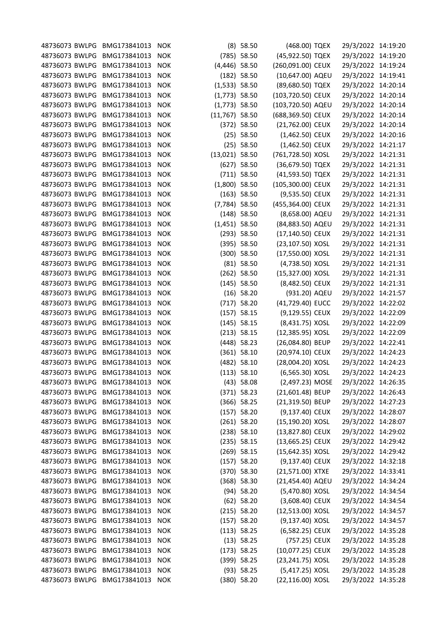| 48736073 BWLPG                   | BMG173841013                 | <b>NOK</b> |                  | $(8)$ 58.50                    | (468.00) TQEX                        | 29/3/2022 14:19:20                       |  |
|----------------------------------|------------------------------|------------|------------------|--------------------------------|--------------------------------------|------------------------------------------|--|
| 48736073 BWLPG                   | BMG173841013                 | <b>NOK</b> |                  | $(785)$ 58.50                  | (45,922.50) TQEX                     | 29/3/2022 14:19:20                       |  |
| 48736073 BWLPG                   | BMG173841013                 | <b>NOK</b> | $(4,446)$ 58.50  |                                | (260,091.00) CEUX                    | 29/3/2022 14:19:24                       |  |
| 48736073 BWLPG                   | BMG173841013                 | <b>NOK</b> |                  | $(182)$ 58.50                  | (10,647.00) AQEU                     | 29/3/2022 14:19:41                       |  |
| 48736073 BWLPG                   | BMG173841013                 | <b>NOK</b> | $(1,533)$ 58.50  |                                | (89,680.50) TQEX                     | 29/3/2022 14:20:14                       |  |
| 48736073 BWLPG                   | BMG173841013                 | <b>NOK</b> | $(1,773)$ 58.50  |                                | (103,720.50) CEUX                    | 29/3/2022 14:20:14                       |  |
| 48736073 BWLPG                   | BMG173841013                 | <b>NOK</b> | $(1,773)$ 58.50  |                                | (103,720.50) AQEU                    | 29/3/2022 14:20:14                       |  |
| 48736073 BWLPG                   | BMG173841013                 | <b>NOK</b> | $(11,767)$ 58.50 |                                | (688,369.50) CEUX                    | 29/3/2022 14:20:14                       |  |
| 48736073 BWLPG                   | BMG173841013                 | <b>NOK</b> |                  | (372) 58.50                    | (21,762.00) CEUX                     | 29/3/2022 14:20:14                       |  |
| 48736073 BWLPG                   | BMG173841013                 | <b>NOK</b> |                  | $(25)$ 58.50                   | $(1,462.50)$ CEUX                    | 29/3/2022 14:20:16                       |  |
| 48736073 BWLPG                   | BMG173841013                 | <b>NOK</b> |                  | $(25)$ 58.50                   | $(1,462.50)$ CEUX                    | 29/3/2022 14:21:17                       |  |
| 48736073 BWLPG                   | BMG173841013                 | <b>NOK</b> | $(13,021)$ 58.50 |                                | (761,728.50) XOSL                    | 29/3/2022 14:21:31                       |  |
| 48736073 BWLPG                   | BMG173841013                 | <b>NOK</b> |                  | $(627)$ 58.50                  | (36,679.50) TQEX                     | 29/3/2022 14:21:31                       |  |
| 48736073 BWLPG                   | BMG173841013                 | <b>NOK</b> |                  | $(711)$ 58.50                  | (41,593.50) TQEX                     | 29/3/2022 14:21:31                       |  |
| 48736073 BWLPG                   | BMG173841013                 | <b>NOK</b> | $(1,800)$ 58.50  |                                | (105,300.00) CEUX                    | 29/3/2022 14:21:31                       |  |
| 48736073 BWLPG                   | BMG173841013                 | <b>NOK</b> |                  | $(163)$ 58.50                  | (9,535.50) CEUX                      | 29/3/2022 14:21:31                       |  |
| 48736073 BWLPG                   | BMG173841013                 | <b>NOK</b> | $(7,784)$ 58.50  |                                | (455,364.00) CEUX                    | 29/3/2022 14:21:31                       |  |
| 48736073 BWLPG                   | BMG173841013                 | <b>NOK</b> |                  | $(148)$ 58.50                  | (8,658.00) AQEU                      | 29/3/2022 14:21:31                       |  |
| 48736073 BWLPG                   | BMG173841013                 | <b>NOK</b> | $(1,451)$ 58.50  |                                | (84,883.50) AQEU                     | 29/3/2022 14:21:31                       |  |
| 48736073 BWLPG                   | BMG173841013                 | <b>NOK</b> |                  | $(293)$ 58.50                  | (17,140.50) CEUX                     | 29/3/2022 14:21:31                       |  |
| 48736073 BWLPG                   | BMG173841013                 | <b>NOK</b> |                  | (395) 58.50                    | (23,107.50) XOSL                     | 29/3/2022 14:21:31                       |  |
| 48736073 BWLPG                   | BMG173841013                 | <b>NOK</b> |                  | $(300)$ 58.50                  | (17,550.00) XOSL                     | 29/3/2022 14:21:31                       |  |
| 48736073 BWLPG                   | BMG173841013                 | <b>NOK</b> |                  | $(81)$ 58.50                   | (4,738.50) XOSL                      | 29/3/2022 14:21:31                       |  |
| 48736073 BWLPG                   | BMG173841013                 | <b>NOK</b> |                  | $(262)$ 58.50                  | (15,327.00) XOSL                     | 29/3/2022 14:21:31                       |  |
| 48736073 BWLPG                   | BMG173841013                 | <b>NOK</b> |                  | $(145)$ 58.50                  | (8,482.50) CEUX                      | 29/3/2022 14:21:31                       |  |
| 48736073 BWLPG                   | BMG173841013                 | <b>NOK</b> |                  | $(16)$ 58.20                   | (931.20) AQEU                        | 29/3/2022 14:21:57                       |  |
| 48736073 BWLPG                   | BMG173841013                 | <b>NOK</b> |                  | $(717)$ 58.20                  | (41,729.40) EUCC                     | 29/3/2022 14:22:02                       |  |
| 48736073 BWLPG                   | BMG173841013                 | <b>NOK</b> |                  | $(157)$ 58.15                  | (9,129.55) CEUX                      | 29/3/2022 14:22:09                       |  |
| 48736073 BWLPG                   | BMG173841013                 | <b>NOK</b> |                  | $(145)$ 58.15                  | (8,431.75) XOSL                      | 29/3/2022 14:22:09                       |  |
| 48736073 BWLPG                   | BMG173841013                 | <b>NOK</b> |                  | $(213)$ 58.15                  | (12,385.95) XOSL                     | 29/3/2022 14:22:09                       |  |
| 48736073 BWLPG                   | BMG173841013                 | <b>NOK</b> |                  | $(448)$ 58.23                  | (26,084.80) BEUP                     | 29/3/2022 14:22:41                       |  |
| 48736073 BWLPG                   | BMG173841013                 | <b>NOK</b> |                  | $(361)$ 58.10                  | (20,974.10) CEUX                     | 29/3/2022 14:24:23                       |  |
| 48736073 BWLPG                   | BMG173841013                 | <b>NOK</b> |                  | $(482)$ 58.10                  | (28,004.20) XOSL                     | 29/3/2022 14:24:23                       |  |
| 48736073 BWLPG                   | BMG173841013 NOK             |            |                  | (113) 58.10                    | (6,565.30) XOSL                      | 29/3/2022 14:24:23                       |  |
| 48736073 BWLPG                   | BMG173841013                 | <b>NOK</b> |                  | $(43)$ 58.08                   | (2,497.23) MOSE                      | 29/3/2022 14:26:35                       |  |
| 48736073 BWLPG                   | BMG173841013                 | <b>NOK</b> |                  | $(371)$ 58.23                  | (21,601.48) BEUP                     |                                          |  |
| 48736073 BWLPG                   | BMG173841013                 |            |                  |                                | (21,319.50) BEUP                     | 29/3/2022 14:26:43                       |  |
| 48736073 BWLPG                   | BMG173841013                 | <b>NOK</b> |                  | $(366)$ 58.25                  |                                      | 29/3/2022 14:27:23                       |  |
|                                  | BMG173841013                 | <b>NOK</b> |                  | (157) 58.20                    | (9,137.40) CEUX                      | 29/3/2022 14:28:07<br>29/3/2022 14:28:07 |  |
| 48736073 BWLPG<br>48736073 BWLPG |                              | <b>NOK</b> |                  | $(261)$ 58.20                  | (15,190.20) XOSL                     | 29/3/2022 14:29:02                       |  |
|                                  | BMG173841013<br>BMG173841013 | <b>NOK</b> |                  | $(238)$ 58.10<br>$(235)$ 58.15 | (13,827.80) CEUX<br>(13,665.25) CEUX |                                          |  |
| 48736073 BWLPG                   |                              | <b>NOK</b> |                  |                                |                                      | 29/3/2022 14:29:42                       |  |
| 48736073 BWLPG                   | BMG173841013                 | <b>NOK</b> |                  | $(269)$ 58.15                  | (15,642.35) XOSL                     | 29/3/2022 14:29:42                       |  |
| 48736073 BWLPG                   | BMG173841013                 | <b>NOK</b> |                  | (157) 58.20                    | (9,137.40) CEUX                      | 29/3/2022 14:32:18                       |  |
| 48736073 BWLPG                   | BMG173841013                 | <b>NOK</b> |                  | $(370)$ 58.30                  | (21,571.00) XTXE                     | 29/3/2022 14:33:41                       |  |
| 48736073 BWLPG                   | BMG173841013                 | <b>NOK</b> |                  | $(368)$ 58.30                  | (21,454.40) AQEU                     | 29/3/2022 14:34:24                       |  |
| 48736073 BWLPG                   | BMG173841013                 | <b>NOK</b> |                  | $(94)$ 58.20                   | (5,470.80) XOSL                      | 29/3/2022 14:34:54                       |  |
| 48736073 BWLPG                   | BMG173841013                 | <b>NOK</b> |                  | $(62)$ 58.20                   | $(3,608.40)$ CEUX                    | 29/3/2022 14:34:54                       |  |
| 48736073 BWLPG                   | BMG173841013                 | <b>NOK</b> |                  | $(215)$ 58.20                  | (12,513.00) XOSL                     | 29/3/2022 14:34:57                       |  |
| 48736073 BWLPG                   | BMG173841013                 | <b>NOK</b> |                  | $(157)$ 58.20                  | (9,137.40) XOSL                      | 29/3/2022 14:34:57                       |  |
| 48736073 BWLPG                   | BMG173841013                 | <b>NOK</b> |                  | (113) 58.25                    | (6,582.25) CEUX                      | 29/3/2022 14:35:28                       |  |
| 48736073 BWLPG                   | BMG173841013                 | <b>NOK</b> |                  | $(13)$ 58.25                   | (757.25) CEUX                        | 29/3/2022 14:35:28                       |  |
| 48736073 BWLPG                   | BMG173841013                 | <b>NOK</b> |                  | $(173)$ 58.25                  | (10,077.25) CEUX                     | 29/3/2022 14:35:28                       |  |
| 48736073 BWLPG                   | BMG173841013                 | <b>NOK</b> |                  | $(399)$ 58.25                  | (23,241.75) XOSL                     | 29/3/2022 14:35:28                       |  |
| 48736073 BWLPG                   | BMG173841013                 | <b>NOK</b> |                  | (93) 58.25                     | (5,417.25) XOSL                      | 29/3/2022 14:35:28                       |  |
| 48736073 BWLPG                   | BMG173841013                 | <b>NOK</b> |                  | $(380)$ 58.20                  | (22,116.00) XOSL                     | 29/3/2022 14:35:28                       |  |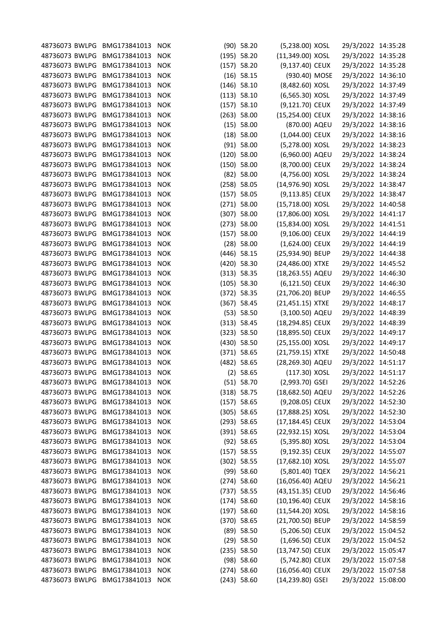| 48736073 BWLPG | BMG173841013 | <b>NOK</b> | $(90)$ 58.20  | (5,238.00) XOSL   | 29/3/2022 14:35:28 |  |
|----------------|--------------|------------|---------------|-------------------|--------------------|--|
| 48736073 BWLPG | BMG173841013 | <b>NOK</b> | $(195)$ 58.20 | (11,349.00) XOSL  | 29/3/2022 14:35:28 |  |
| 48736073 BWLPG | BMG173841013 | <b>NOK</b> | $(157)$ 58.20 | (9,137.40) CEUX   | 29/3/2022 14:35:28 |  |
| 48736073 BWLPG | BMG173841013 | <b>NOK</b> | $(16)$ 58.15  | (930.40) MOSE     | 29/3/2022 14:36:10 |  |
| 48736073 BWLPG | BMG173841013 | <b>NOK</b> | $(146)$ 58.10 | (8,482.60) XOSL   | 29/3/2022 14:37:49 |  |
| 48736073 BWLPG | BMG173841013 | <b>NOK</b> | (113) 58.10   | (6,565.30) XOSL   | 29/3/2022 14:37:49 |  |
| 48736073 BWLPG | BMG173841013 | <b>NOK</b> | $(157)$ 58.10 | (9,121.70) CEUX   | 29/3/2022 14:37:49 |  |
| 48736073 BWLPG | BMG173841013 | <b>NOK</b> | $(263)$ 58.00 | (15,254.00) CEUX  | 29/3/2022 14:38:16 |  |
| 48736073 BWLPG | BMG173841013 | <b>NOK</b> | (15) 58.00    | (870.00) AQEU     | 29/3/2022 14:38:16 |  |
| 48736073 BWLPG | BMG173841013 | <b>NOK</b> | $(18)$ 58.00  | $(1,044.00)$ CEUX | 29/3/2022 14:38:16 |  |
| 48736073 BWLPG | BMG173841013 | <b>NOK</b> | $(91)$ 58.00  | (5,278.00) XOSL   | 29/3/2022 14:38:23 |  |
| 48736073 BWLPG | BMG173841013 | <b>NOK</b> | $(120)$ 58.00 | (6,960.00) AQEU   | 29/3/2022 14:38:24 |  |
| 48736073 BWLPG | BMG173841013 | <b>NOK</b> | $(150)$ 58.00 | (8,700.00) CEUX   | 29/3/2022 14:38:24 |  |
| 48736073 BWLPG | BMG173841013 | <b>NOK</b> | $(82)$ 58.00  | (4,756.00) XOSL   | 29/3/2022 14:38:24 |  |
| 48736073 BWLPG | BMG173841013 | <b>NOK</b> | $(258)$ 58.05 | (14,976.90) XOSL  | 29/3/2022 14:38:47 |  |
| 48736073 BWLPG | BMG173841013 | <b>NOK</b> | $(157)$ 58.05 | (9,113.85) CEUX   | 29/3/2022 14:38:47 |  |
| 48736073 BWLPG | BMG173841013 | <b>NOK</b> | $(271)$ 58.00 | (15,718.00) XOSL  | 29/3/2022 14:40:58 |  |
| 48736073 BWLPG | BMG173841013 | <b>NOK</b> | $(307)$ 58.00 | (17,806.00) XOSL  | 29/3/2022 14:41:17 |  |
| 48736073 BWLPG | BMG173841013 | <b>NOK</b> | $(273)$ 58.00 | (15,834.00) XOSL  | 29/3/2022 14:41:51 |  |
| 48736073 BWLPG | BMG173841013 | <b>NOK</b> | $(157)$ 58.00 | (9,106.00) CEUX   | 29/3/2022 14:44:19 |  |
| 48736073 BWLPG | BMG173841013 | <b>NOK</b> | $(28)$ 58.00  | $(1,624.00)$ CEUX | 29/3/2022 14:44:19 |  |
| 48736073 BWLPG | BMG173841013 | <b>NOK</b> | $(446)$ 58.15 | (25,934.90) BEUP  | 29/3/2022 14:44:38 |  |
| 48736073 BWLPG | BMG173841013 | <b>NOK</b> | $(420)$ 58.30 | (24,486.00) XTXE  | 29/3/2022 14:45:52 |  |
| 48736073 BWLPG | BMG173841013 | <b>NOK</b> | (313) 58.35   | (18,263.55) AQEU  | 29/3/2022 14:46:30 |  |
| 48736073 BWLPG | BMG173841013 | <b>NOK</b> | $(105)$ 58.30 | (6,121.50) CEUX   | 29/3/2022 14:46:30 |  |
| 48736073 BWLPG | BMG173841013 | <b>NOK</b> | $(372)$ 58.35 | (21,706.20) BEUP  | 29/3/2022 14:46:55 |  |
| 48736073 BWLPG | BMG173841013 | <b>NOK</b> | $(367)$ 58.45 | (21,451.15) XTXE  | 29/3/2022 14:48:17 |  |
| 48736073 BWLPG | BMG173841013 | <b>NOK</b> | (53) 58.50    | (3,100.50) AQEU   | 29/3/2022 14:48:39 |  |
| 48736073 BWLPG | BMG173841013 | <b>NOK</b> | (313) 58.45   | (18,294.85) CEUX  | 29/3/2022 14:48:39 |  |
| 48736073 BWLPG | BMG173841013 | <b>NOK</b> | (323) 58.50   | (18,895.50) CEUX  | 29/3/2022 14:49:17 |  |
| 48736073 BWLPG | BMG173841013 | <b>NOK</b> | $(430)$ 58.50 | (25,155.00) XOSL  | 29/3/2022 14:49:17 |  |
| 48736073 BWLPG | BMG173841013 | <b>NOK</b> | $(371)$ 58.65 | (21,759.15) XTXE  | 29/3/2022 14:50:48 |  |
|                |              |            |               |                   |                    |  |
| 48736073 BWLPG | BMG173841013 | <b>NOK</b> | (482) 58.65   | (28,269.30) AQEU  | 29/3/2022 14:51:17 |  |
| 48736073 BWLPG | BMG173841013 | <b>NOK</b> | $(2)$ 58.65   | (117.30) XOSL     | 29/3/2022 14:51:17 |  |
| 48736073 BWLPG | BMG173841013 | <b>NOK</b> | $(51)$ 58.70  | (2,993.70) GSEI   | 29/3/2022 14:52:26 |  |
| 48736073 BWLPG | BMG173841013 | <b>NOK</b> | (318) 58.75   | (18,682.50) AQEU  | 29/3/2022 14:52:26 |  |
| 48736073 BWLPG | BMG173841013 | <b>NOK</b> | $(157)$ 58.65 | (9,208.05) CEUX   | 29/3/2022 14:52:30 |  |
| 48736073 BWLPG | BMG173841013 | <b>NOK</b> | $(305)$ 58.65 | (17,888.25) XOSL  | 29/3/2022 14:52:30 |  |
| 48736073 BWLPG | BMG173841013 | <b>NOK</b> | $(293)$ 58.65 | (17,184.45) CEUX  | 29/3/2022 14:53:04 |  |
| 48736073 BWLPG | BMG173841013 | <b>NOK</b> | $(391)$ 58.65 | (22,932.15) XOSL  | 29/3/2022 14:53:04 |  |
| 48736073 BWLPG | BMG173841013 | <b>NOK</b> | $(92)$ 58.65  | (5,395.80) XOSL   | 29/3/2022 14:53:04 |  |
| 48736073 BWLPG | BMG173841013 | <b>NOK</b> | $(157)$ 58.55 | (9,192.35) CEUX   | 29/3/2022 14:55:07 |  |
| 48736073 BWLPG | BMG173841013 | <b>NOK</b> | $(302)$ 58.55 | (17,682.10) XOSL  | 29/3/2022 14:55:07 |  |
| 48736073 BWLPG | BMG173841013 | <b>NOK</b> | $(99)$ 58.60  | (5,801.40) TQEX   | 29/3/2022 14:56:21 |  |
| 48736073 BWLPG | BMG173841013 | <b>NOK</b> | $(274)$ 58.60 | (16,056.40) AQEU  | 29/3/2022 14:56:21 |  |
| 48736073 BWLPG | BMG173841013 | <b>NOK</b> | $(737)$ 58.55 | (43,151.35) CEUD  | 29/3/2022 14:56:46 |  |
| 48736073 BWLPG | BMG173841013 | <b>NOK</b> | $(174)$ 58.60 | (10,196.40) CEUX  | 29/3/2022 14:58:16 |  |
| 48736073 BWLPG | BMG173841013 | <b>NOK</b> | $(197)$ 58.60 | (11,544.20) XOSL  | 29/3/2022 14:58:16 |  |
| 48736073 BWLPG | BMG173841013 | <b>NOK</b> | $(370)$ 58.65 | (21,700.50) BEUP  | 29/3/2022 14:58:59 |  |
| 48736073 BWLPG | BMG173841013 | <b>NOK</b> | $(89)$ 58.50  | (5,206.50) CEUX   | 29/3/2022 15:04:52 |  |
| 48736073 BWLPG | BMG173841013 | <b>NOK</b> | $(29)$ 58.50  | $(1,696.50)$ CEUX | 29/3/2022 15:04:52 |  |
| 48736073 BWLPG | BMG173841013 | <b>NOK</b> | $(235)$ 58.50 | (13,747.50) CEUX  | 29/3/2022 15:05:47 |  |
| 48736073 BWLPG | BMG173841013 | <b>NOK</b> | $(98)$ 58.60  | (5,742.80) CEUX   | 29/3/2022 15:07:58 |  |
| 48736073 BWLPG | BMG173841013 | <b>NOK</b> | $(274)$ 58.60 | (16,056.40) CEUX  | 29/3/2022 15:07:58 |  |
| 48736073 BWLPG | BMG173841013 | <b>NOK</b> | $(243)$ 58.60 | (14,239.80) GSEI  | 29/3/2022 15:08:00 |  |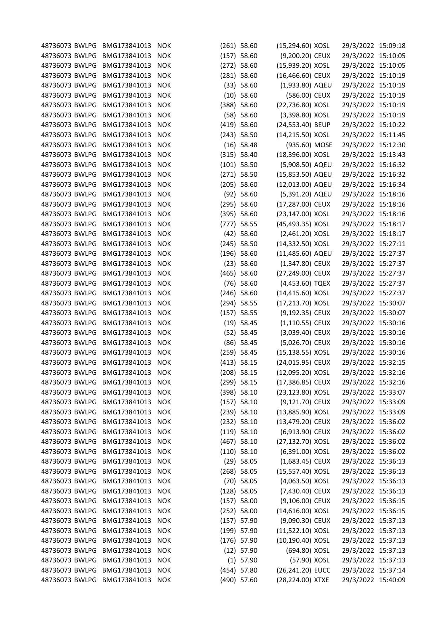| 48736073 BWLPG BMG173841013 |              | <b>NOK</b> | $(261)$ 58.60 | (15,294.60) XOSL   | 29/3/2022 15:09:18 |  |
|-----------------------------|--------------|------------|---------------|--------------------|--------------------|--|
| 48736073 BWLPG              | BMG173841013 | <b>NOK</b> | $(157)$ 58.60 | (9,200.20) CEUX    | 29/3/2022 15:10:05 |  |
| 48736073 BWLPG              | BMG173841013 | <b>NOK</b> | $(272)$ 58.60 | (15,939.20) XOSL   | 29/3/2022 15:10:05 |  |
| 48736073 BWLPG              | BMG173841013 | <b>NOK</b> | $(281)$ 58.60 | (16,466.60) CEUX   | 29/3/2022 15:10:19 |  |
| 48736073 BWLPG              | BMG173841013 | <b>NOK</b> | (33) 58.60    | (1,933.80) AQEU    | 29/3/2022 15:10:19 |  |
| 48736073 BWLPG              | BMG173841013 | <b>NOK</b> | $(10)$ 58.60  | (586.00) CEUX      | 29/3/2022 15:10:19 |  |
| 48736073 BWLPG              | BMG173841013 | <b>NOK</b> | (388) 58.60   | (22,736.80) XOSL   | 29/3/2022 15:10:19 |  |
| 48736073 BWLPG              | BMG173841013 | <b>NOK</b> | (58) 58.60    | (3,398.80) XOSL    | 29/3/2022 15:10:19 |  |
| 48736073 BWLPG              | BMG173841013 | <b>NOK</b> | $(419)$ 58.60 | (24,553.40) BEUP   | 29/3/2022 15:10:22 |  |
| 48736073 BWLPG              | BMG173841013 | <b>NOK</b> | $(243)$ 58.50 | (14,215.50) XOSL   | 29/3/2022 15:11:45 |  |
| 48736073 BWLPG              | BMG173841013 | <b>NOK</b> | $(16)$ 58.48  | (935.60) MOSE      | 29/3/2022 15:12:30 |  |
| 48736073 BWLPG              | BMG173841013 | <b>NOK</b> | (315) 58.40   | (18,396.00) XOSL   | 29/3/2022 15:13:43 |  |
| 48736073 BWLPG              | BMG173841013 | <b>NOK</b> | $(101)$ 58.50 | (5,908.50) AQEU    | 29/3/2022 15:16:32 |  |
| 48736073 BWLPG              | BMG173841013 | <b>NOK</b> | $(271)$ 58.50 | (15,853.50) AQEU   | 29/3/2022 15:16:32 |  |
| 48736073 BWLPG              | BMG173841013 | <b>NOK</b> | $(205)$ 58.60 | (12,013.00) AQEU   | 29/3/2022 15:16:34 |  |
| 48736073 BWLPG              | BMG173841013 | <b>NOK</b> | $(92)$ 58.60  | (5,391.20) AQEU    | 29/3/2022 15:18:16 |  |
| 48736073 BWLPG              | BMG173841013 | <b>NOK</b> | $(295)$ 58.60 | (17,287.00) CEUX   | 29/3/2022 15:18:16 |  |
| 48736073 BWLPG              | BMG173841013 | <b>NOK</b> | (395) 58.60   | (23,147.00) XOSL   | 29/3/2022 15:18:16 |  |
| 48736073 BWLPG              | BMG173841013 | <b>NOK</b> | $(777)$ 58.55 | (45,493.35) XOSL   | 29/3/2022 15:18:17 |  |
| 48736073 BWLPG              | BMG173841013 | <b>NOK</b> | $(42)$ 58.60  | (2,461.20) XOSL    | 29/3/2022 15:18:17 |  |
| 48736073 BWLPG              | BMG173841013 | <b>NOK</b> | $(245)$ 58.50 | (14,332.50) XOSL   | 29/3/2022 15:27:11 |  |
| 48736073 BWLPG              | BMG173841013 | <b>NOK</b> | $(196)$ 58.60 | (11,485.60) AQEU   | 29/3/2022 15:27:37 |  |
| 48736073 BWLPG              | BMG173841013 | <b>NOK</b> | $(23)$ 58.60  | (1,347.80) CEUX    | 29/3/2022 15:27:37 |  |
| 48736073 BWLPG              | BMG173841013 | <b>NOK</b> | $(465)$ 58.60 | (27,249.00) CEUX   | 29/3/2022 15:27:37 |  |
| 48736073 BWLPG              | BMG173841013 | <b>NOK</b> | $(76)$ 58.60  | (4,453.60) TQEX    | 29/3/2022 15:27:37 |  |
| 48736073 BWLPG              | BMG173841013 | <b>NOK</b> | $(246)$ 58.60 | (14,415.60) XOSL   | 29/3/2022 15:27:37 |  |
| 48736073 BWLPG              | BMG173841013 | <b>NOK</b> | $(294)$ 58.55 | (17,213.70) XOSL   | 29/3/2022 15:30:07 |  |
| 48736073 BWLPG              | BMG173841013 | <b>NOK</b> | $(157)$ 58.55 | (9,192.35) CEUX    | 29/3/2022 15:30:07 |  |
| 48736073 BWLPG              | BMG173841013 | <b>NOK</b> | $(19)$ 58.45  | $(1, 110.55)$ CEUX | 29/3/2022 15:30:16 |  |
| 48736073 BWLPG              | BMG173841013 | <b>NOK</b> | $(52)$ 58.45  | (3,039.40) CEUX    | 29/3/2022 15:30:16 |  |
| 48736073 BWLPG              | BMG173841013 | <b>NOK</b> | $(86)$ 58.45  | (5,026.70) CEUX    | 29/3/2022 15:30:16 |  |
| 48736073 BWLPG              | BMG173841013 | <b>NOK</b> | $(259)$ 58.45 | (15,138.55) XOSL   | 29/3/2022 15:30:16 |  |
| 48736073 BWLPG              | BMG173841013 | <b>NOK</b> | $(413)$ 58.15 | (24,015.95) CEUX   | 29/3/2022 15:32:15 |  |
| 48736073 BWLPG              | BMG173841013 | <b>NOK</b> | $(208)$ 58.15 | (12,095.20) XOSL   | 29/3/2022 15:32:16 |  |
| 48736073 BWLPG              | BMG173841013 | <b>NOK</b> | (299) 58.15   | (17,386.85) CEUX   | 29/3/2022 15:32:16 |  |
| 48736073 BWLPG              | BMG173841013 | <b>NOK</b> | $(398)$ 58.10 | (23,123.80) XOSL   | 29/3/2022 15:33:07 |  |
| 48736073 BWLPG              | BMG173841013 | <b>NOK</b> | $(157)$ 58.10 | (9,121.70) CEUX    | 29/3/2022 15:33:09 |  |
| 48736073 BWLPG              | BMG173841013 | <b>NOK</b> | $(239)$ 58.10 | (13,885.90) XOSL   | 29/3/2022 15:33:09 |  |
| 48736073 BWLPG              | BMG173841013 | <b>NOK</b> | $(232)$ 58.10 | (13,479.20) CEUX   | 29/3/2022 15:36:02 |  |
| 48736073 BWLPG              | BMG173841013 | <b>NOK</b> | (119) 58.10   | (6,913.90) CEUX    | 29/3/2022 15:36:02 |  |
| 48736073 BWLPG              | BMG173841013 | <b>NOK</b> | $(467)$ 58.10 | (27,132.70) XOSL   | 29/3/2022 15:36:02 |  |
| 48736073 BWLPG              | BMG173841013 | <b>NOK</b> | $(110)$ 58.10 | (6,391.00) XOSL    | 29/3/2022 15:36:02 |  |
| 48736073 BWLPG              | BMG173841013 | <b>NOK</b> | $(29)$ 58.05  | $(1,683.45)$ CEUX  | 29/3/2022 15:36:13 |  |
| 48736073 BWLPG              | BMG173841013 | <b>NOK</b> | $(268)$ 58.05 | (15,557.40) XOSL   | 29/3/2022 15:36:13 |  |
| 48736073 BWLPG              | BMG173841013 | <b>NOK</b> | $(70)$ 58.05  | (4,063.50) XOSL    | 29/3/2022 15:36:13 |  |
| 48736073 BWLPG              | BMG173841013 | <b>NOK</b> |               |                    |                    |  |
| 48736073 BWLPG              | BMG173841013 | <b>NOK</b> | $(128)$ 58.05 | (7,430.40) CEUX    | 29/3/2022 15:36:13 |  |
|                             |              |            | (157) 58.00   | (9,106.00) CEUX    | 29/3/2022 15:36:15 |  |
| 48736073 BWLPG              | BMG173841013 | <b>NOK</b> | $(252)$ 58.00 | (14,616.00) XOSL   | 29/3/2022 15:36:15 |  |
| 48736073 BWLPG              | BMG173841013 | <b>NOK</b> | $(157)$ 57.90 | (9,090.30) CEUX    | 29/3/2022 15:37:13 |  |
| 48736073 BWLPG              | BMG173841013 | <b>NOK</b> | $(199)$ 57.90 | (11,522.10) XOSL   | 29/3/2022 15:37:13 |  |
| 48736073 BWLPG              | BMG173841013 | <b>NOK</b> | $(176)$ 57.90 | (10,190.40) XOSL   | 29/3/2022 15:37:13 |  |
| 48736073 BWLPG              | BMG173841013 | <b>NOK</b> | $(12)$ 57.90  | (694.80) XOSL      | 29/3/2022 15:37:13 |  |
| 48736073 BWLPG              | BMG173841013 | <b>NOK</b> | $(1)$ 57.90   | (57.90) XOSL       | 29/3/2022 15:37:13 |  |
| 48736073 BWLPG              | BMG173841013 | <b>NOK</b> | $(454)$ 57.80 | (26,241.20) EUCC   | 29/3/2022 15:37:14 |  |
| 48736073 BWLPG              | BMG173841013 | <b>NOK</b> | (490) 57.60   | (28,224.00) XTXE   | 29/3/2022 15:40:09 |  |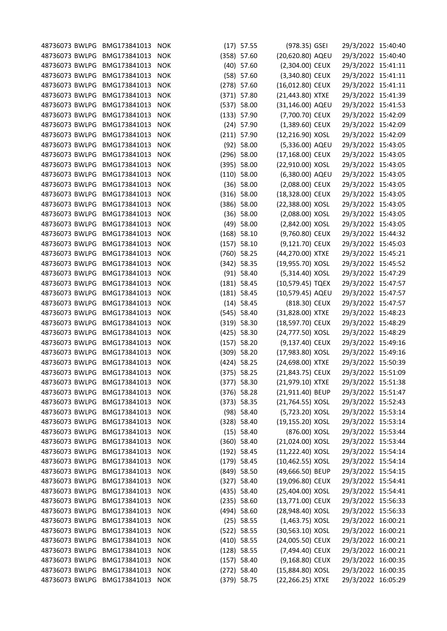| 48736073 BWLPG BMG173841013 |                  | <b>NOK</b>               | $(17)$ 57.55  | (978.35) GSEI                       | 29/3/2022 15:40:40 |  |
|-----------------------------|------------------|--------------------------|---------------|-------------------------------------|--------------------|--|
| 48736073 BWLPG              | BMG173841013     | <b>NOK</b>               | (358) 57.60   | (20,620.80) AQEU                    | 29/3/2022 15:40:40 |  |
| 48736073 BWLPG              | BMG173841013     | <b>NOK</b>               | $(40)$ 57.60  | (2,304.00) CEUX                     | 29/3/2022 15:41:11 |  |
| 48736073 BWLPG              | BMG173841013     | <b>NOK</b>               | (58) 57.60    | (3,340.80) CEUX                     | 29/3/2022 15:41:11 |  |
| 48736073 BWLPG              | BMG173841013     | <b>NOK</b>               | $(278)$ 57.60 | (16,012.80) CEUX                    | 29/3/2022 15:41:11 |  |
| 48736073 BWLPG              | BMG173841013     | <b>NOK</b>               | $(371)$ 57.80 | (21,443.80) XTXE                    | 29/3/2022 15:41:39 |  |
| 48736073 BWLPG              | BMG173841013     | <b>NOK</b>               | (537) 58.00   | (31,146.00) AQEU                    | 29/3/2022 15:41:53 |  |
| 48736073 BWLPG              | BMG173841013     | <b>NOK</b>               | $(133)$ 57.90 | (7,700.70) CEUX                     | 29/3/2022 15:42:09 |  |
| 48736073 BWLPG              | BMG173841013     | <b>NOK</b>               | $(24)$ 57.90  | (1,389.60) CEUX                     | 29/3/2022 15:42:09 |  |
| 48736073 BWLPG              | BMG173841013     | <b>NOK</b>               | $(211)$ 57.90 | (12,216.90) XOSL                    | 29/3/2022 15:42:09 |  |
| 48736073 BWLPG              | BMG173841013     | <b>NOK</b>               | $(92)$ 58.00  | (5,336.00) AQEU                     | 29/3/2022 15:43:05 |  |
| 48736073 BWLPG              | BMG173841013     | <b>NOK</b>               | $(296)$ 58.00 | (17,168.00) CEUX                    | 29/3/2022 15:43:05 |  |
| 48736073 BWLPG              | BMG173841013     | <b>NOK</b>               | (395) 58.00   | (22,910.00) XOSL                    | 29/3/2022 15:43:05 |  |
| 48736073 BWLPG              | BMG173841013     | <b>NOK</b>               | $(110)$ 58.00 | (6,380.00) AQEU                     | 29/3/2022 15:43:05 |  |
| 48736073 BWLPG              | BMG173841013     | <b>NOK</b>               | $(36)$ 58.00  | (2,088.00) CEUX                     | 29/3/2022 15:43:05 |  |
| 48736073 BWLPG              | BMG173841013     | <b>NOK</b>               | $(316)$ 58.00 | (18,328.00) CEUX                    | 29/3/2022 15:43:05 |  |
| 48736073 BWLPG              | BMG173841013     | <b>NOK</b>               | $(386)$ 58.00 | (22,388.00) XOSL                    | 29/3/2022 15:43:05 |  |
| 48736073 BWLPG              | BMG173841013     | <b>NOK</b>               | $(36)$ 58.00  | (2,088.00) XOSL                     | 29/3/2022 15:43:05 |  |
| 48736073 BWLPG              | BMG173841013     | <b>NOK</b>               | $(49)$ 58.00  | (2,842.00) XOSL                     | 29/3/2022 15:43:05 |  |
| 48736073 BWLPG              | BMG173841013     | <b>NOK</b>               | $(168)$ 58.10 | (9,760.80) CEUX                     | 29/3/2022 15:44:32 |  |
| 48736073 BWLPG              | BMG173841013     | <b>NOK</b>               | $(157)$ 58.10 | (9,121.70) CEUX                     | 29/3/2022 15:45:03 |  |
| 48736073 BWLPG              | BMG173841013     | <b>NOK</b>               | $(760)$ 58.25 | (44,270.00) XTXE                    | 29/3/2022 15:45:21 |  |
| 48736073 BWLPG              | BMG173841013     | <b>NOK</b>               | $(342)$ 58.35 | (19,955.70) XOSL                    | 29/3/2022 15:45:52 |  |
| 48736073 BWLPG              | BMG173841013     | <b>NOK</b>               | $(91)$ 58.40  | (5,314.40) XOSL                     | 29/3/2022 15:47:29 |  |
| 48736073 BWLPG              | BMG173841013     | <b>NOK</b>               | $(181)$ 58.45 | (10,579.45) TQEX                    | 29/3/2022 15:47:57 |  |
| 48736073 BWLPG              | BMG173841013     | <b>NOK</b>               | $(181)$ 58.45 | (10,579.45) AQEU                    | 29/3/2022 15:47:57 |  |
| 48736073 BWLPG              | BMG173841013     |                          | $(14)$ 58.45  | (818.30) CEUX                       | 29/3/2022 15:47:57 |  |
| 48736073 BWLPG              | BMG173841013     | <b>NOK</b><br><b>NOK</b> |               |                                     |                    |  |
| 48736073 BWLPG              | BMG173841013     | <b>NOK</b>               | $(545)$ 58.40 | (31,828.00) XTXE                    | 29/3/2022 15:48:23 |  |
| 48736073 BWLPG              | BMG173841013     | <b>NOK</b>               | $(319)$ 58.30 | (18,597.70) CEUX                    | 29/3/2022 15:48:29 |  |
| 48736073 BWLPG              | BMG173841013     |                          | $(425)$ 58.30 | (24,777.50) XOSL<br>(9,137.40) CEUX | 29/3/2022 15:48:29 |  |
|                             | BMG173841013     | <b>NOK</b>               | $(157)$ 58.20 |                                     | 29/3/2022 15:49:16 |  |
| 48736073 BWLPG              |                  | <b>NOK</b>               | $(309)$ 58.20 | (17,983.80) XOSL                    | 29/3/2022 15:49:16 |  |
| 48736073 BWLPG              | BMG173841013     | <b>NOK</b>               | $(424)$ 58.25 | (24,698.00) XTXE                    | 29/3/2022 15:50:39 |  |
| 48736073 BWLPG              | BMG173841013     | <b>NOK</b>               | $(375)$ 58.25 | (21,843.75) CEUX                    | 29/3/2022 15:51:09 |  |
| 48736073 BWLPG              | BMG173841013     | <b>NOK</b>               | $(377)$ 58.30 | (21,979.10) XTXE                    | 29/3/2022 15:51:38 |  |
| 48736073 BWLPG              | BMG173841013     | <b>NOK</b>               | $(376)$ 58.28 | (21,911.40) BEUP                    | 29/3/2022 15:51:47 |  |
| 48736073 BWLPG              | BMG173841013     | <b>NOK</b>               | (373) 58.35   | (21,764.55) XOSL                    | 29/3/2022 15:52:43 |  |
| 48736073 BWLPG              | BMG173841013     | <b>NOK</b>               | $(98)$ 58.40  | (5,723.20) XOSL                     | 29/3/2022 15:53:14 |  |
| 48736073 BWLPG              | BMG173841013     | <b>NOK</b>               | $(328)$ 58.40 | (19,155.20) XOSL                    | 29/3/2022 15:53:14 |  |
| 48736073 BWLPG              | BMG173841013     | <b>NOK</b>               | $(15)$ 58.40  | (876.00) XOSL                       | 29/3/2022 15:53:44 |  |
| 48736073 BWLPG              | BMG173841013     | <b>NOK</b>               | $(360)$ 58.40 | (21,024.00) XOSL                    | 29/3/2022 15:53:44 |  |
| 48736073 BWLPG              | BMG173841013     | <b>NOK</b>               | $(192)$ 58.45 | (11,222.40) XOSL                    | 29/3/2022 15:54:14 |  |
| 48736073 BWLPG              | BMG173841013     | <b>NOK</b>               | $(179)$ 58.45 | (10,462.55) XOSL                    | 29/3/2022 15:54:14 |  |
| 48736073 BWLPG              | BMG173841013     | <b>NOK</b>               | $(849)$ 58.50 | (49,666.50) BEUP                    | 29/3/2022 15:54:15 |  |
| 48736073 BWLPG              | BMG173841013     | <b>NOK</b>               | $(327)$ 58.40 | (19,096.80) CEUX                    | 29/3/2022 15:54:41 |  |
| 48736073 BWLPG              | BMG173841013     | <b>NOK</b>               | $(435)$ 58.40 | (25,404.00) XOSL                    | 29/3/2022 15:54:41 |  |
| 48736073 BWLPG              | BMG173841013     | <b>NOK</b>               | (235) 58.60   | (13,771.00) CEUX                    | 29/3/2022 15:56:33 |  |
| 48736073 BWLPG              | BMG173841013     | <b>NOK</b>               | $(494)$ 58.60 | (28,948.40) XOSL                    | 29/3/2022 15:56:33 |  |
| 48736073 BWLPG              | BMG173841013     | <b>NOK</b>               | $(25)$ 58.55  | $(1,463.75)$ XOSL                   | 29/3/2022 16:00:21 |  |
| 48736073 BWLPG              | BMG173841013     | <b>NOK</b>               | (522) 58.55   | (30,563.10) XOSL                    | 29/3/2022 16:00:21 |  |
| 48736073 BWLPG              | BMG173841013     | <b>NOK</b>               | $(410)$ 58.55 | (24,005.50) CEUX                    | 29/3/2022 16:00:21 |  |
| 48736073 BWLPG              | BMG173841013     | <b>NOK</b>               | $(128)$ 58.55 | (7,494.40) CEUX                     | 29/3/2022 16:00:21 |  |
| 48736073 BWLPG              | BMG173841013     | <b>NOK</b>               | $(157)$ 58.40 | (9,168.80) CEUX                     | 29/3/2022 16:00:35 |  |
| 48736073 BWLPG              | BMG173841013     | <b>NOK</b>               | $(272)$ 58.40 | (15,884.80) XOSL                    | 29/3/2022 16:00:35 |  |
| 48736073 BWLPG              | BMG173841013 NOK |                          | $(379)$ 58.75 | (22,266.25) XTXE                    | 29/3/2022 16:05:29 |  |